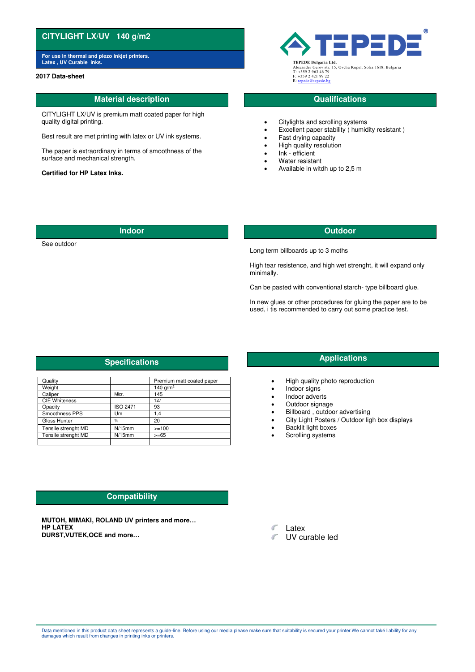# **CITYLIGHT LX/UV 140 g/m2**

**For use in thermal and piezo inkjet printers. Latex , UV Curable inks. TEPEDE Bulgaria Ltd.**

### **2017 Data-sheet**

## **Material description CONSIDERING CONSIDERING CONSIDERING CONSIDERING CONSIDERING CONSIDERING CONSIDERING CONSIDERING CONSIDERING CONSIDERING CONSIDERING CONSIDERING CONSIDERING CONSIDERING CONSIDERING CONSIDERING CONSID**

CITYLIGHT LX/UV is premium matt coated paper for high quality digital printing.

Best result are met printing with latex or UV ink systems.

The paper is extraordinary in terms of smoothness of the surface and mechanical strength.

### **Certified for HP Latex Inks.**



Alexander Gerov str. 15, Ovcha Kupel, Sofia 1618, Bulgaria T: +359 2 963 46 79 F: +359 2 421 99 22 E: ter

- Citylights and scrolling systems
- Excellent paper stability ( humidity resistant )
- Fast drying capacity
- High quality resolution
- Ink efficient
- Water resistant
- Available in witdh up to 2,5 m

### **Indoor Outdoor**

See outdoor

Long term billboards up to 3 moths

High tear resistence, and high wet strenght, it will expand only minimally.

Can be pasted with conventional starch- type billboard glue.

In new glues or other procedures for gluing the paper are to be used, i tis recommended to carry out some practice test.

| Quality              |                 | Premium matt coated paper |
|----------------------|-----------------|---------------------------|
| Weight               |                 | 140 $q/m^2$               |
| Caliper              | Micr.           | 145                       |
| <b>CIE Whiteness</b> |                 | 127                       |
| Opacity              | <b>ISO 2471</b> | 93                        |
| Smoothness PPS       | Um              | 1.4                       |
| Gloss Hunter         | %               | 20                        |
| Tensile strenght MD  | $N/15$ mm       | $>=100$                   |
| Tensile strenght MD  | $N/15$ mm       | $>= 65$                   |
|                      |                 |                           |

# **Compatibility**

**MUTOH, MIMAKI, ROLAND UV printers and more… HP LATEX DURST,VUTEK,OCE and more…**

**Specifications** *Applications* 

- High quality photo reproduction
- Indoor signs
- Indoor adverts
- Outdoor signage
- Billboard , outdoor advertising
- City Light Posters / Outdoor ligh box displays
- **Backlit light boxes**
- Scrolling systems

 $\mathcal{C}^{\prime}$ Latex

UV curable led